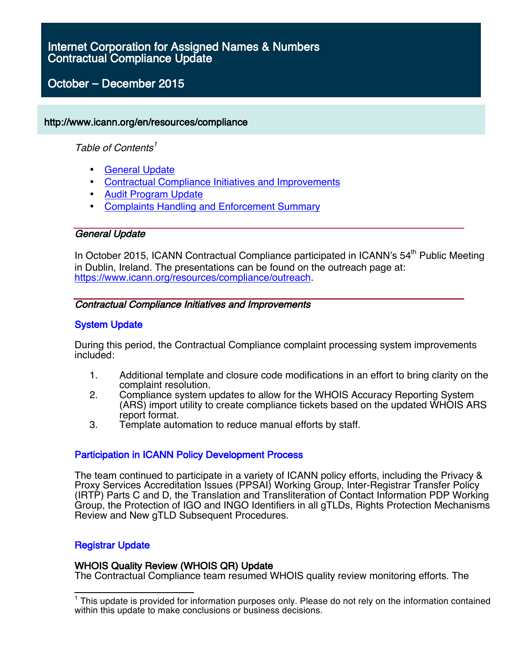#### Contractual Compliance Update for October **–** December 2015 Internet Corporation for Assigned Names & Numbers Contractual Compliance Update

# October **–** December 2015

# http://www.icann.org/en/resources/compliance

# Table of Contents<sup>1</sup>

- General Update
- Contractual Compliance Initiatives and Improvements
- Audit Program Update
- Complaints Handling and Enforcement Summary

# General Update

In October 2015, ICANN Contractual Compliance participated in ICANN's  $54<sup>th</sup>$  Public Meeting in Dublin, Ireland. The presentations can be found on the outreach page at: https://www.icann.org/resources/compliance/outreach.

# Contractual Compliance Initiatives and Improvements

# System Update

During this period, the Contractual Compliance complaint processing system improvements included:

- 1. Additional template and closure code modifications in an effort to bring clarity on the complaint resolution.
- 2. Compliance system updates to allow for the WHOIS Accuracy Reporting System (ARS) import utility to create compliance tickets based on the updated WHOIS ARS report format.
- 3. Template automation to reduce manual efforts by staff.

# Participation in ICANN Policy Development Process

The team continued to participate in a variety of ICANN policy efforts, including the Privacy & Proxy Services Accreditation Issues (PPSAI) Working Group, Inter-Registrar Transfer Policy (IRTP) Parts C and D, the Translation and Transliteration of Contact Information PDP Working Group, the Protection of IGO and INGO Identifiers in all gTLDs, Rights Protection Mechanisms Review and New gTLD Subsequent Procedures.

# Registrar Update

# WHOIS Quality Review (WHOIS QR) Update

The Contractual Compliance team resumed WHOIS quality review monitoring efforts. The

<sup>&</sup>lt;sup>1</sup> This update is provided for information purposes only. Please do not rely on the information contained within this update to make conclusions or business decisions.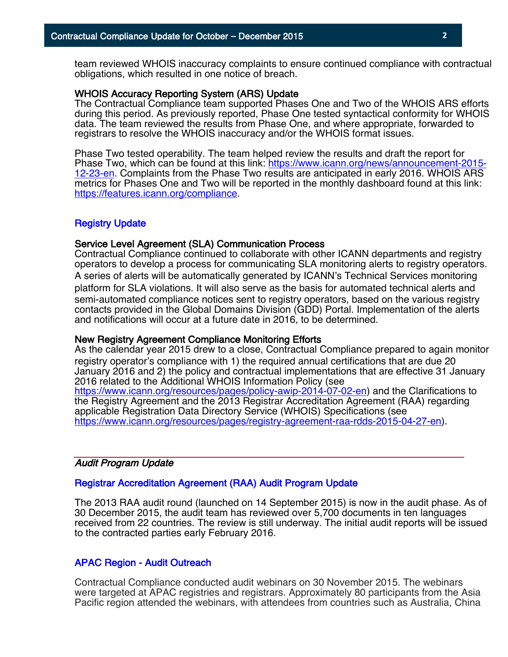team reviewed WHOIS inaccuracy complaints to ensure continued compliance with contractual obligations, which resulted in one notice of breach.

#### WHOIS Accuracy Reporting System (ARS) Update

The Contractual Compliance team supported Phases One and Two of the WHOIS ARS efforts during this period. As previously reported, Phase One tested syntactical conformity for WHOIS data. The team reviewed the results from Phase One, and where appropriate, forwarded to registrars to resolve the WHOIS inaccuracy and/or the WHOIS format issues.

Phase Two tested operability. The team helped review the results and draft the report for Phase Two, which can be found at this link: https://www.icann.org/news/announcement-2015- 12-23-en. Complaints from the Phase Two results are anticipated in early 2016. WHOIS ARS metrics for Phases One and Two will be reported in the monthly dashboard found at this link: https://features.icann.org/compliance.

## Registry Update

#### Service Level Agreement (SLA) Communication Process

Contractual Compliance continued to collaborate with other ICANN departments and registry operators to develop a process for communicating SLA monitoring alerts to registry operators. A series of alerts will be automatically generated by ICANN's Technical Services monitoring platform for SLA violations. It will also serve as the basis for automated technical alerts and semi-automated compliance notices sent to registry operators, based on the various registry contacts provided in the Global Domains Division (GDD) Portal. Implementation of the alerts and notifications will occur at a future date in 2016, to be determined.

#### New Registry Agreement Compliance Monitoring Efforts

As the calendar year 2015 drew to a close, Contractual Compliance prepared to again monitor registry operator's compliance with 1) the required annual certifications that are due 20 January 2016 and 2) the policy and contractual implementations that are effective 31 January 2016 related to the Additional WHOIS Information Policy (see https://www.icann.org/resources/pages/policy-awip-2014-07-02-en) and the Clarifications to

the Registry Agreement and the 2013 Registrar Accreditation Agreement (RAA) regarding applicable Registration Data Directory Service (WHOIS) Specifications (see https://www.icann.org/resources/pages/registry-agreement-raa-rdds-2015-04-27-en).

## Audit Program Update

#### Registrar Accreditation Agreement (RAA) Audit Program Update

The 2013 RAA audit round (launched on 14 September 2015) is now in the audit phase. As of 30 December 2015, the audit team has reviewed over 5,700 documents in ten languages received from 22 countries. The review is still underway. The initial audit reports will be issued to the contracted parties early February 2016.

#### APAC Region - Audit Outreach

Contractual Compliance conducted audit webinars on 30 November 2015. The webinars were targeted at APAC registries and registrars. Approximately 80 participants from the Asia Pacific region attended the webinars, with attendees from countries such as Australia, China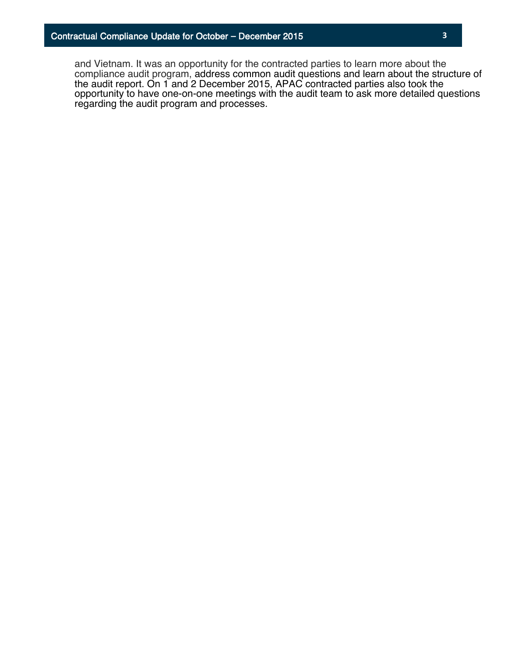and Vietnam. It was an opportunity for the contracted parties to learn more about the compliance audit program, address common audit questions and learn about the structure of the audit report. On 1 and 2 December 2015, APAC contracted parties also took the opportunity to have one-on-one meetings with the audit team to ask more detailed questions regarding the audit program and processes.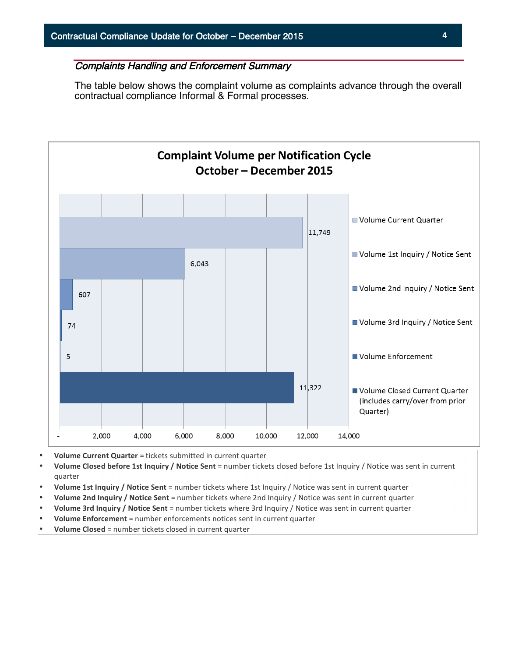# Complaints Handling and Enforcement Summary

The table below shows the complaint volume as complaints advance through the overall contractual compliance Informal & Formal processes.



- **Volume Current Quarter** = tickets submitted in current quarter
- Volume Closed before 1st Inquiry / Notice Sent = number tickets closed before 1st Inquiry / Notice was sent in current quarter
- **Volume 1st Inquiry / Notice Sent** = number tickets where 1st Inquiry / Notice was sent in current quarter
- **Volume 2nd Inquiry / Notice Sent** = number tickets where 2nd Inquiry / Notice was sent in current quarter
- **Volume 3rd Inquiry / Notice Sent** = number tickets where 3rd Inquiry / Notice was sent in current quarter
- **Volume Enforcement** = number enforcements notices sent in current quarter
- **Volume Closed** = number tickets closed in current quarter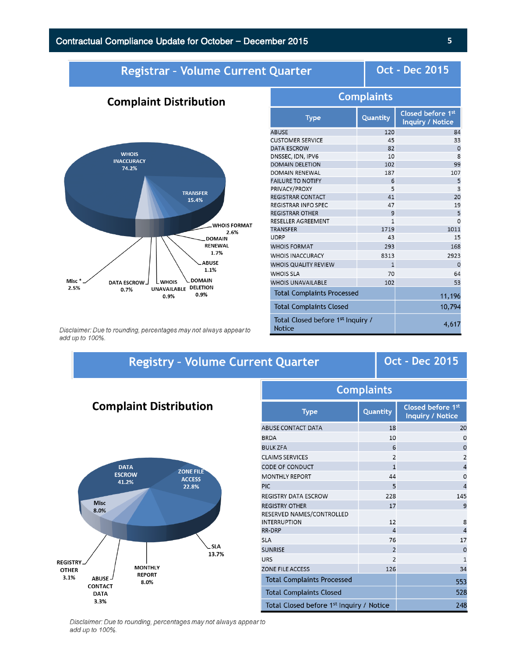**Complaint Distribution** 

# Registrar - Volume Current Quarter

**Oct - Dec 2015** 

#### **WHOIS INACCURACY** 74.2% **TRANSFER** 15.4% **WHOIS FORMAT** 2.6% **DOMAIN** RENEWAL  $1.7%$ **ABUSE** 1.1% **DOMAIN** Misc<sup>\*</sup> **DATA ESCROW** Lwhois UNAVAILABLE DELETION 2.5% 0.7% 0.9% 0.9%

| Complaints                                                     |              |                                       |  |  |  |  |
|----------------------------------------------------------------|--------------|---------------------------------------|--|--|--|--|
| <b>Type</b>                                                    | Quantity     | Closed before 1st<br>Inquiry / Notice |  |  |  |  |
| ABUSE                                                          | 120          | 84                                    |  |  |  |  |
| <b>CUSTOMER SERVICE</b>                                        | 45           | 33                                    |  |  |  |  |
| DATA ESCROW                                                    | 82           | $\mathbf 0$                           |  |  |  |  |
| DNSSEC, IDN, IPV6                                              | 10           | 8                                     |  |  |  |  |
| <b>DOMAIN DELETION</b>                                         | 102          | 99                                    |  |  |  |  |
| DOMAIN RENEWAL                                                 | 187          | 107                                   |  |  |  |  |
| <b>FAILURE TO NOTIFY</b>                                       | 6            | 5                                     |  |  |  |  |
| PRIVACY/PROXY                                                  | 5            | $\overline{3}$                        |  |  |  |  |
| REGISTRAR CONTACT                                              | 41           | 20                                    |  |  |  |  |
| REGISTRAR INFO SPEC                                            | 47           | 19                                    |  |  |  |  |
| <b>REGISTRAR OTHER</b>                                         | 9            | 5                                     |  |  |  |  |
| RESELLER AGREEMENT                                             | 1            | $\Omega$                              |  |  |  |  |
| TRANSFER                                                       | 1719         | 1011                                  |  |  |  |  |
| UDRP                                                           | 43           | 15                                    |  |  |  |  |
| <b>WHOIS FORMAT</b>                                            | 293          | 168                                   |  |  |  |  |
| <b>WHOIS INACCURACY</b>                                        | 8313         | 2923                                  |  |  |  |  |
| WHOIS QUALITY REVIEW                                           | $\mathbf{1}$ | $\Omega$                              |  |  |  |  |
| <b>WHOIS SLA</b>                                               | 70           | 64                                    |  |  |  |  |
| <b>WHOIS UNAVAILABLE</b>                                       | 102          | 53                                    |  |  |  |  |
| <b>Total Complaints Processed</b>                              | 11,196       |                                       |  |  |  |  |
| <b>Total Complaints Closed</b>                                 | 10,794       |                                       |  |  |  |  |
| Total Closed before 1 <sup>st</sup> Inquiry /<br><b>Notice</b> | 4,617        |                                       |  |  |  |  |

**Complaints** 

Quantity

Complaint

Disclaimer: Due to rounding, percentages may not always appear to add up to 100%.

# **Registry - Volume Current Quarter**

# **Oct - Dec 2015**

Closed before 1st

**Inquiry / Notice** 

20  $\mathsf{o}$  $\circ$  $\overline{2}$ 

 $\overline{a}$ 

 $\circ$ 

 $\overline{4}$ 145

 $\overline{9}$ 

 $\boldsymbol{8}$  $\overline{4}$ 17  $\mathbf 0$  $\mathbf 1$ 

34

553

528

248

# **Complaint Distribution**



|            | <b>ABUSE CONTACT DATA</b>                        | 18             |
|------------|--------------------------------------------------|----------------|
|            | <b>BRDA</b>                                      | 10             |
|            | <b>BULK ZFA</b>                                  | 6              |
|            | <b>CLAIMS SERVICES</b>                           | $\overline{2}$ |
|            | <b>CODE OF CONDUCT</b>                           | $\mathbf{1}$   |
| Ē          | <b>MONTHLY REPORT</b>                            | 44             |
|            | <b>PIC</b>                                       | 5              |
|            | <b>REGISTRY DATA ESCROW</b>                      | 228            |
|            | <b>REGISTRY OTHER</b>                            | 17             |
|            | RESERVED NAMES/CONTROLLED<br><b>INTERRUPTION</b> | 12             |
|            | RR-DRP                                           | $\overline{4}$ |
|            | <b>SLA</b>                                       | 76             |
| <b>SLA</b> | <b>SUNRISE</b>                                   | $\overline{2}$ |
| 13.7%      | <b>URS</b>                                       | $\overline{2}$ |
|            | <b>ZONE FILE ACCESS</b>                          | 126            |

**Total Complaints Processed** 

**Type** 

**Total Complaints Closed** Total Closed before 1st Inquiry / Notice

Disclaimer: Due to rounding, percentages may not always appear to add up to 100%.

## **5**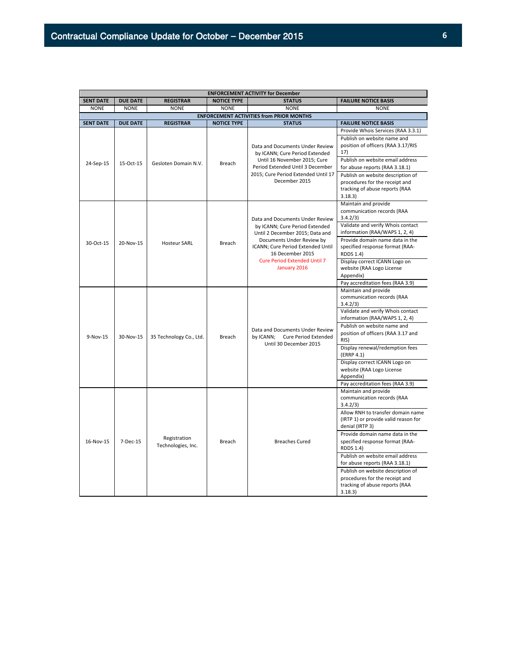| <b>ENFORCEMENT ACTIVITY for December</b> |                   |                                                                         |                    |                                                                                                                                                                                                                                                   |                                                                                                                  |  |
|------------------------------------------|-------------------|-------------------------------------------------------------------------|--------------------|---------------------------------------------------------------------------------------------------------------------------------------------------------------------------------------------------------------------------------------------------|------------------------------------------------------------------------------------------------------------------|--|
| <b>SENT DATE</b>                         | <b>DUE DATE</b>   | <b>REGISTRAR</b>                                                        | <b>NOTICE TYPE</b> | <b>STATUS</b>                                                                                                                                                                                                                                     | <b>FAILURE NOTICE BASIS</b>                                                                                      |  |
| <b>NONE</b>                              | <b>NONE</b>       | <b>NONE</b>                                                             | <b>NONE</b>        | <b>NONE</b>                                                                                                                                                                                                                                       | <b>NONE</b>                                                                                                      |  |
|                                          |                   |                                                                         |                    | <b>ENFORCEMENT ACTIVITIES from PRIOR MONTHS</b>                                                                                                                                                                                                   |                                                                                                                  |  |
| <b>SENT DATE</b>                         | <b>DUE DATE</b>   | <b>REGISTRAR</b>                                                        | <b>NOTICE TYPE</b> | <b>STATUS</b>                                                                                                                                                                                                                                     | <b>FAILURE NOTICE BASIS</b>                                                                                      |  |
|                                          | 15-Oct-15         | Gesloten Domain N.V.                                                    | Breach             | Data and Documents Under Review<br>by ICANN; Cure Period Extended<br>Until 16 November 2015; Cure<br>Period Extended Until 3 December<br>2015; Cure Period Extended Until 17<br>December 2015                                                     | Provide Whois Services (RAA 3.3.1)<br>Publish on website name and<br>position of officers (RAA 3.17/RIS<br>17)   |  |
| 24-Sep-15                                |                   |                                                                         |                    |                                                                                                                                                                                                                                                   | Publish on website email address<br>for abuse reports (RAA 3.18.1)                                               |  |
|                                          |                   |                                                                         |                    |                                                                                                                                                                                                                                                   | Publish on website description of<br>procedures for the receipt and<br>tracking of abuse reports (RAA<br>3.18.3  |  |
|                                          | 20-Nov-15         | <b>Hosteur SARL</b>                                                     | Breach             | Data and Documents Under Review<br>by ICANN; Cure Period Extended<br>Until 2 December 2015; Data and<br>Documents Under Review by<br>ICANN; Cure Period Extended Until<br>16 December 2015<br><b>Cure Period Extended Until 7</b><br>January 2016 | Maintain and provide<br>communication records (RAA<br>3.4.2/3)                                                   |  |
|                                          |                   |                                                                         |                    |                                                                                                                                                                                                                                                   | Validate and verify Whois contact<br>information (RAA/WAPS 1, 2, 4)                                              |  |
| 30-Oct-15                                |                   |                                                                         |                    |                                                                                                                                                                                                                                                   | Provide domain name data in the<br>specified response format (RAA-<br><b>RDDS 1.4)</b>                           |  |
|                                          |                   |                                                                         |                    |                                                                                                                                                                                                                                                   | Display correct ICANN Logo on<br>website (RAA Logo License<br>Appendix)                                          |  |
|                                          |                   |                                                                         |                    |                                                                                                                                                                                                                                                   | Pay accreditation fees (RAA 3.9)                                                                                 |  |
|                                          |                   | 35 Technology Co., Ltd.                                                 | Breach             | Data and Documents Under Review<br>by ICANN; Cure Period Extended<br>Until 30 December 2015                                                                                                                                                       | Maintain and provide<br>communication records (RAA<br>3.4.2/3)                                                   |  |
|                                          | 30-Nov-15<br>RIS) |                                                                         |                    |                                                                                                                                                                                                                                                   | Validate and verify Whois contact<br>information (RAA/WAPS 1, 2, 4)                                              |  |
| 9-Nov-15                                 |                   |                                                                         |                    |                                                                                                                                                                                                                                                   | Publish on website name and<br>position of officers (RAA 3.17 and                                                |  |
|                                          |                   |                                                                         |                    |                                                                                                                                                                                                                                                   | Display renewal/redemption fees<br>(ERRP 4.1)                                                                    |  |
|                                          |                   | Display correct ICANN Logo on<br>website (RAA Logo License<br>Appendix) |                    |                                                                                                                                                                                                                                                   |                                                                                                                  |  |
|                                          |                   |                                                                         |                    |                                                                                                                                                                                                                                                   | Pay accreditation fees (RAA 3.9)                                                                                 |  |
|                                          | 7-Dec-15          | Registration<br>Technologies, Inc.                                      | Breach             | <b>Breaches Cured</b>                                                                                                                                                                                                                             | Maintain and provide<br>communication records (RAA<br>3.4.2/3)                                                   |  |
|                                          |                   |                                                                         |                    |                                                                                                                                                                                                                                                   | Allow RNH to transfer domain name<br>(IRTP 1) or provide valid reason for<br>denial (IRTP 3)                     |  |
| 16-Nov-15                                |                   |                                                                         |                    |                                                                                                                                                                                                                                                   | Provide domain name data in the<br>specified response format (RAA-<br><b>RDDS 1.4)</b>                           |  |
|                                          |                   |                                                                         |                    |                                                                                                                                                                                                                                                   | Publish on website email address<br>for abuse reports (RAA 3.18.1)                                               |  |
|                                          |                   |                                                                         |                    |                                                                                                                                                                                                                                                   | Publish on website description of<br>procedures for the receipt and<br>tracking of abuse reports (RAA<br>3.18.3) |  |